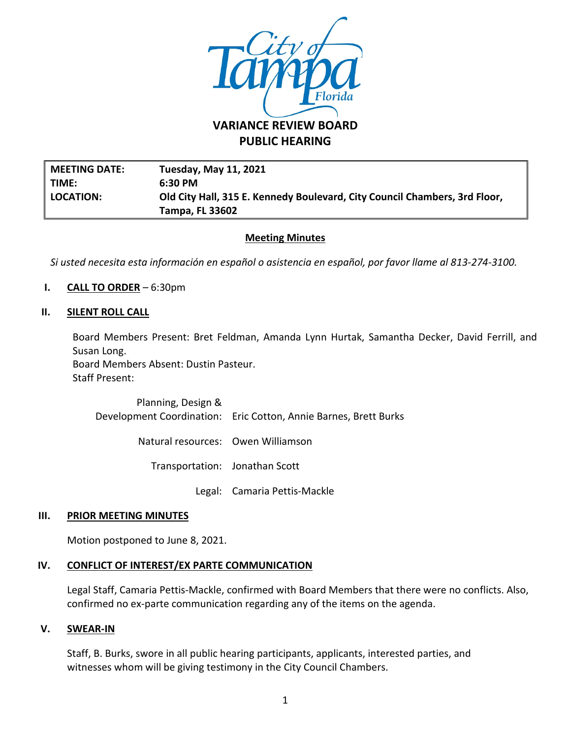

**PUBLIC HEARING**

**MEETING DATE: Tuesday, May 11, 2021 TIME: 6:30 PM LOCATION: Old City Hall, 315 E. Kennedy Boulevard, City Council Chambers, 3rd Floor, Tampa, FL 33602**

# **Meeting Minutes**

*Si usted necesita esta información en español o asistencia en español, por favor llame al 813-274-3100.*

**I. CALL TO ORDER** – 6:30pm

### **II. SILENT ROLL CALL**

Board Members Present: Bret Feldman, Amanda Lynn Hurtak, Samantha Decker, David Ferrill, and Susan Long.

Board Members Absent: Dustin Pasteur. Staff Present:

> Planning, Design & Development Coordination: Eric Cotton, Annie Barnes, Brett Burks

> > Natural resources: Owen Williamson

Transportation: Jonathan Scott

Legal: Camaria Pettis-Mackle

#### **III. PRIOR MEETING MINUTES**

Motion postponed to June 8, 2021.

# **IV. CONFLICT OF INTEREST/EX PARTE COMMUNICATION**

Legal Staff, Camaria Pettis-Mackle, confirmed with Board Members that there were no conflicts. Also, confirmed no ex-parte communication regarding any of the items on the agenda.

#### **V. SWEAR-IN**

Staff, B. Burks, swore in all public hearing participants, applicants, interested parties, and witnesses whom will be giving testimony in the City Council Chambers.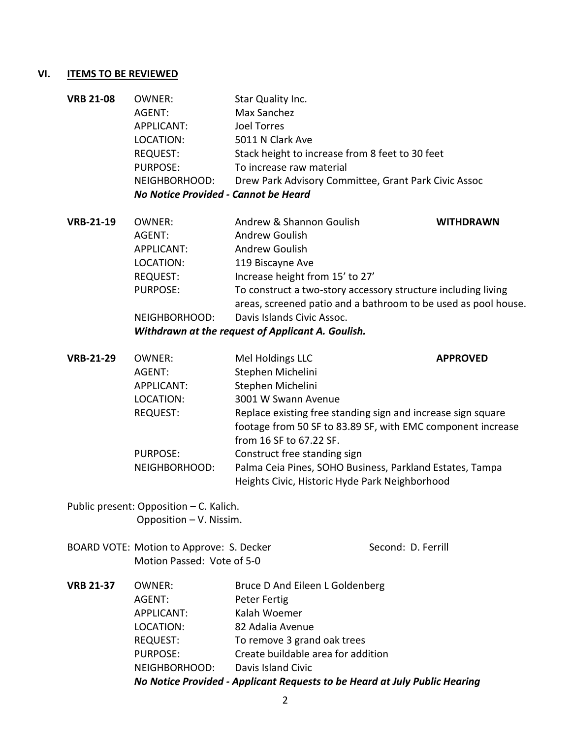# **VI. ITEMS TO BE REVIEWED**

| <b>VRB 21-08</b> | <b>OWNER:</b>                        | Star Quality Inc.                                    |
|------------------|--------------------------------------|------------------------------------------------------|
|                  | AGENT:                               | Max Sanchez                                          |
|                  | APPLICANT:                           | Joel Torres                                          |
|                  | LOCATION:                            | 5011 N Clark Ave                                     |
|                  | <b>REQUEST:</b>                      | Stack height to increase from 8 feet to 30 feet      |
|                  | <b>PURPOSE:</b>                      | To increase raw material                             |
|                  | NEIGHBORHOOD:                        | Drew Park Advisory Committee, Grant Park Civic Assoc |
|                  | No Notice Provided - Cannot be Heard |                                                      |

**VRB-21-19** OWNER: Andrew & Shannon Goulish **WITHDRAWN** AGENT: Andrew Goulish APPLICANT: Andrew Goulish LOCATION: 119 Biscayne Ave REQUEST: Increase height from 15' to 27' PURPOSE: To construct a two-story accessory structure including living areas, screened patio and a bathroom to be used as pool house. NEIGHBORHOOD: Davis Islands Civic Assoc.

*Withdrawn at the request of Applicant A. Goulish.*

| <b>VRB-21-29</b> | OWNER:            | Mel Holdings LLC                                             | <b>APPROVED</b> |
|------------------|-------------------|--------------------------------------------------------------|-----------------|
|                  | AGENT:            | Stephen Michelini                                            |                 |
|                  | <b>APPLICANT:</b> | Stephen Michelini                                            |                 |
|                  | LOCATION:         | 3001 W Swann Avenue                                          |                 |
|                  | <b>REQUEST:</b>   | Replace existing free standing sign and increase sign square |                 |
|                  |                   | footage from 50 SF to 83.89 SF, with EMC component increase  |                 |
|                  |                   | from 16 SF to 67.22 SF.                                      |                 |
|                  | <b>PURPOSE:</b>   | Construct free standing sign                                 |                 |
|                  | NEIGHBORHOOD:     | Palma Ceia Pines, SOHO Business, Parkland Estates, Tampa     |                 |
|                  |                   | Heights Civic, Historic Hyde Park Neighborhood               |                 |
|                  |                   |                                                              |                 |

- Public present: Opposition C. Kalich. Opposition – V. Nissim.
- BOARD VOTE: Motion to Approve: S. Decker Second: D. Ferrill Motion Passed: Vote of 5-0

|                  |                 | No Notice Provided - Applicant Requests to be Heard at July Public Hearing |
|------------------|-----------------|----------------------------------------------------------------------------|
|                  | NEIGHBORHOOD:   | Davis Island Civic                                                         |
|                  | <b>PURPOSE:</b> | Create buildable area for addition                                         |
|                  | <b>REQUEST:</b> | To remove 3 grand oak trees                                                |
|                  | LOCATION:       | 82 Adalia Avenue                                                           |
|                  | APPLICANT:      | Kalah Woemer                                                               |
|                  | AGENT:          | Peter Fertig                                                               |
| <b>VRB 21-37</b> | OWNER:          | Bruce D And Eileen L Goldenberg                                            |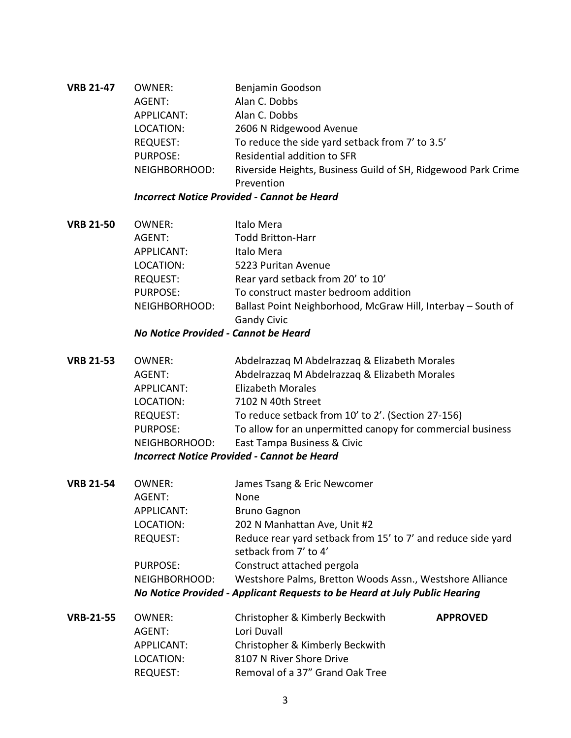**VRB 21-47** OWNER: Benjamin Goodson AGENT: Alan C. Dobbs APPLICANT: Alan C. Dobbs LOCATION: 2606 N Ridgewood Avenue REQUEST: To reduce the side yard setback from 7' to 3.5' PURPOSE: Residential addition to SFR NEIGHBORHOOD: Riverside Heights, Business Guild of SH, Ridgewood Park Crime Prevention

## *Incorrect Notice Provided - Cannot be Heard*

**VRB 21-50** OWNER: Italo Mera AGENT: Todd Britton-Harr APPLICANT: Italo Mera LOCATION: 5223 Puritan Avenue REQUEST: Rear yard setback from 20' to 10' PURPOSE: To construct master bedroom addition NEIGHBORHOOD: Ballast Point Neighborhood, McGraw Hill, Interbay – South of Gandy Civic

### *No Notice Provided - Cannot be Heard*

- **VRB 21-53** OWNER: Abdelrazzaq M Abdelrazzaq & Elizabeth Morales AGENT: Abdelrazzaq M Abdelrazzaq & Elizabeth Morales APPLICANT: Elizabeth Morales LOCATION: 7102 N 40th Street REQUEST: To reduce setback from 10' to 2'. (Section 27-156) PURPOSE: To allow for an unpermitted canopy for commercial business NEIGHBORHOOD: East Tampa Business & Civic *Incorrect Notice Provided - Cannot be Heard*
- **VRB 21-54** OWNER: James Tsang & Eric Newcomer AGENT: None APPLICANT: Bruno Gagnon LOCATION: 202 N Manhattan Ave, Unit #2 REQUEST: Reduce rear yard setback from 15' to 7' and reduce side yard setback from 7' to 4' PURPOSE: Construct attached pergola NEIGHBORHOOD: Westshore Palms, Bretton Woods Assn., Westshore Alliance *No Notice Provided - Applicant Requests to be Heard at July Public Hearing*

| <b>VRB-21-55</b> | OWNER:     | Christopher & Kimberly Beckwith | <b>APPROVED</b> |
|------------------|------------|---------------------------------|-----------------|
|                  | AGENT:     | Lori Duvall                     |                 |
|                  | APPLICANT: | Christopher & Kimberly Beckwith |                 |
|                  | LOCATION:  | 8107 N River Shore Drive        |                 |
|                  | REQUEST:   | Removal of a 37" Grand Oak Tree |                 |